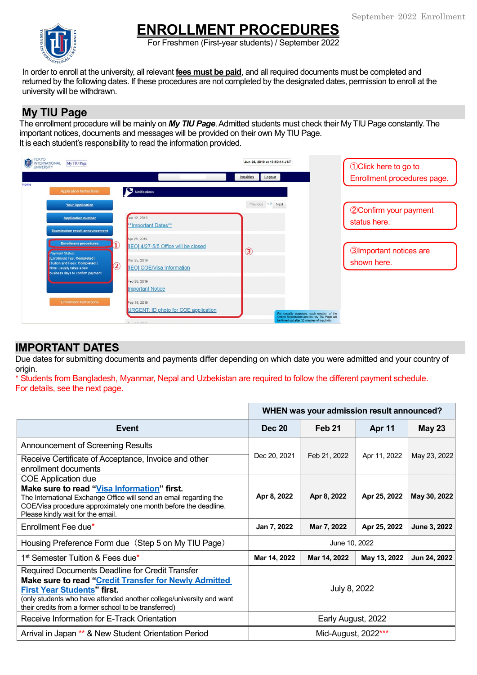

# **ENROLLMENT PROCEDURES**

For Freshmen (First-year students) / September 2022

In order to enroll at the university, all relevant **fees must be paid**, and all required documents must be completed and returned by the following dates. If these procedures are not completed by the designated dates, permission to enroll at the university will be withdrawn.

### **My TIU Page**

The enrollment procedure will be mainly on *My TIU Page*. Admitted students must check their My TIU Page constantly. The important notices, documents and messages will be provided on their own My TIU Page. It is each student's responsibility to read the information provided.



# **IMPORTANT DATES**

Due dates for submitting documents and payments differ depending on which date you were admitted and your country of origin.

\* Students from Bangladesh, Myanmar, Nepal and Uzbekistan are required to follow the different payment schedule. For details, see the next page.

|                                                                                                                                                                                                                                                                                                                                | WHEN was your admission result announced? |               |               |               |
|--------------------------------------------------------------------------------------------------------------------------------------------------------------------------------------------------------------------------------------------------------------------------------------------------------------------------------|-------------------------------------------|---------------|---------------|---------------|
| Event                                                                                                                                                                                                                                                                                                                          | <b>Dec 20</b>                             | <b>Feb 21</b> | <b>Apr 11</b> | <b>May 23</b> |
| Announcement of Screening Results                                                                                                                                                                                                                                                                                              |                                           |               |               |               |
| Receive Certificate of Acceptance, Invoice and other<br>enrollment documents                                                                                                                                                                                                                                                   | Dec 20, 2021                              | Feb 21, 2022  | Apr 11, 2022  | May 23, 2022  |
| <b>COE Application due</b><br>Make sure to read "Visa Information" first.<br>The International Exchange Office will send an email regarding the<br>COE/Visa procedure approximately one month before the deadline.<br>Please kindly wait for the email.                                                                        | Apr 8, 2022                               | Apr 8, 2022   | Apr 25, 2022  | May 30, 2022  |
| Enrollment Fee due*                                                                                                                                                                                                                                                                                                            | Jan 7, 2022                               | Mar 7, 2022   | Apr 25, 2022  | June 3, 2022  |
| Housing Preference Form due (Step 5 on My TIU Page)                                                                                                                                                                                                                                                                            | June 10, 2022                             |               |               |               |
| 1 <sup>st</sup> Semester Tuition & Fees due*                                                                                                                                                                                                                                                                                   | Mar 14, 2022                              | Mar 14, 2022  | May 13, 2022  | Jun 24, 2022  |
| Required Documents Deadline for Credit Transfer<br>Make sure to read "Credit Transfer for Newly Admitted<br><b>First Year Students" first.</b><br>(only students who have attended another college/university and want<br>their credits from a former school to be transferred)<br>Receive Information for E-Track Orientation | July 8, 2022<br>Early August, 2022        |               |               |               |
| Arrival in Japan ** & New Student Orientation Period                                                                                                                                                                                                                                                                           | Mid-August, 2022***                       |               |               |               |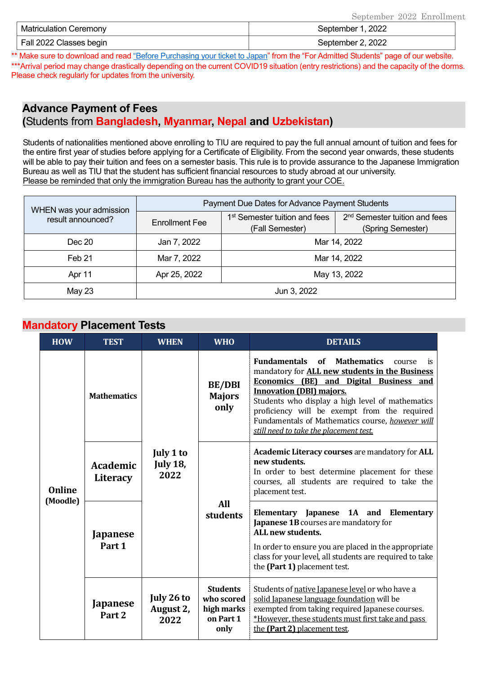| Matriculation Ceremony  | September 1, 2022 |
|-------------------------|-------------------|
| Fall 2022 Classes begin | September 2, 2022 |

\*\* Make sure to download and rea[d "Before Purchasing your ticket to Japan"](https://www.tiu.ac.jp/etrack/admissions/docs/Before_Purchasing_Your_Ticket_to_Japan.pdf) from the "For Admitted Students" page of our website. \*\*\*Arrival period may change drastically depending on the current COVID19 situation (entry restrictions) and the capacity of the dorms. Please check regularly for updates from the university.

## **Advance Payment of Fees (**Students from **Bangladesh, Myanmar, Nepal and Uzbekistan)**

Students of nationalities mentioned above enrolling to TIU are required to pay the full annual amount of tuition and fees for the entire first year of studies before applying for a Certificate of Eligibility. From the second year onwards, these students will be able to pay their tuition and fees on a semester basis. This rule is to provide assurance to the Japanese Immigration Bureau as well as TIU that the student has sufficient financial resources to study abroad at our university. Please be reminded that only the immigration Bureau has the authority to grant your COE.

| WHEN was your admission | Payment Due Dates for Advance Payment Students |                                                              |                                                                |  |
|-------------------------|------------------------------------------------|--------------------------------------------------------------|----------------------------------------------------------------|--|
| result announced?       | <b>Enrollment Fee</b>                          | 1 <sup>st</sup> Semester tuition and fees<br>(Fall Semester) | 2 <sup>nd</sup> Semester tuition and fees<br>(Spring Semester) |  |
| Dec 20                  | Jan 7, 2022                                    | Mar 14, 2022                                                 |                                                                |  |
| Feb <sub>21</sub>       | Mar 7, 2022                                    | Mar 14, 2022                                                 |                                                                |  |
| Apr 11                  | Apr 25, 2022                                   | May 13, 2022                                                 |                                                                |  |
| May 23                  | Jun 3, 2022                                    |                                                              |                                                                |  |

#### **Mandatory Placement Tests**

| <b>HOW</b>                | <b>TEST</b>                          | <b>WHEN</b>                          | <b>WHO</b>                                                       | <b>DETAILS</b>                                                                                                                                                                                                                                                                                                                                                                                        |  |  |
|---------------------------|--------------------------------------|--------------------------------------|------------------------------------------------------------------|-------------------------------------------------------------------------------------------------------------------------------------------------------------------------------------------------------------------------------------------------------------------------------------------------------------------------------------------------------------------------------------------------------|--|--|
| <b>Online</b><br>(Moodle) | <b>Mathematics</b>                   |                                      | <b>BE/DBI</b><br><b>Majors</b><br>only                           | <b>Fundamentals</b> of<br><b>Mathematics</b><br>course<br>is<br>mandatory for <b>ALL new students in the Business</b><br>Economics (BE) and Digital Business and<br><b>Innovation (DBI) majors.</b><br>Students who display a high level of mathematics<br>proficiency will be exempt from the required<br>Fundamentals of Mathematics course, however will<br>still need to take the placement test. |  |  |
|                           | <b>Academic</b><br>Literacy          | July 1 to<br><b>July 18,</b><br>2022 |                                                                  | <b>Academic Literacy courses are mandatory for ALL</b><br>new students.<br>In order to best determine placement for these<br>courses, all students are required to take the<br>placement test.                                                                                                                                                                                                        |  |  |
|                           | Japanese<br>Part 1                   |                                      | All<br>students                                                  | Elementary Japanese 1A and Elementary<br>Japanese 1B courses are mandatory for<br>ALL new students.<br>In order to ensure you are placed in the appropriate<br>class for your level, all students are required to take<br>the (Part 1) placement test.                                                                                                                                                |  |  |
|                           | <b>Japanese</b><br>Part <sub>2</sub> | July 26 to<br>August 2,<br>2022      | <b>Students</b><br>who scored<br>high marks<br>on Part 1<br>only | Students of native Japanese level or who have a<br>solid Japanese language foundation will be<br>exempted from taking required Japanese courses.<br>*However, these students must first take and pass<br>the (Part 2) placement test.                                                                                                                                                                 |  |  |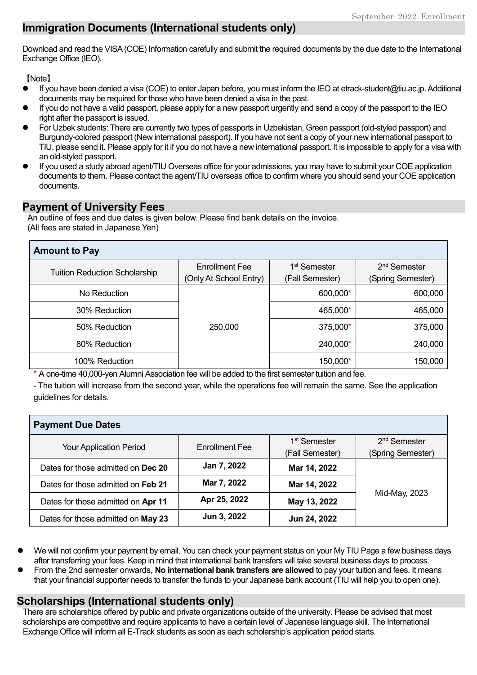# **Immigration Documents (International students only)**

Download and read the VISA(COE) Information carefully and submit the required documents by the due date to the International Exchange Office (IEO).

【Note】

- If you have been denied a visa (COE) to enter Japan before, you must inform the IEO a[t etrack-student@tiu.ac.jp.](mailto:etrack-student@tiu.ac.jp) Additional documents may be required for those who have been denied a visa in the past.
- If you do not have a valid passport, please apply for a new passport urgently and send a copy of the passport to the IEO right after the passport is issued.
- For Uzbek students: There are currently two types of passports in Uzbekistan, Green passport (old-styled passport) and Burgundy-colored passport (New international passport). If you have not sent a copy of your new international passport to TIU, please send it. Please apply for it if you do not have a new international passport. It is impossible to apply for a visa with an old-styled passport.
- If you used a study abroad agent/TIU Overseas office for your admissions, you may have to submit your COE application documents to them. Please contact the agent/TIU overseas office to confirm where you should send your COE application documents.

## **Payment of University Fees**

An outline of fees and due dates is given below. Please find bank details on the invoice. (All fees are stated in Japanese Yen)

| <b>Amount to Pay</b>                 |                                                 |                                             |                                               |  |  |
|--------------------------------------|-------------------------------------------------|---------------------------------------------|-----------------------------------------------|--|--|
| <b>Tuition Reduction Scholarship</b> | <b>Enrollment Fee</b><br>(Only At School Entry) | 1 <sup>st</sup> Semester<br>(Fall Semester) | 2 <sup>nd</sup> Semester<br>(Spring Semester) |  |  |
| No Reduction                         |                                                 | 600,000*                                    | 600,000                                       |  |  |
| 30% Reduction                        |                                                 | 465,000*                                    | 465,000                                       |  |  |
| 50% Reduction                        | 250,000                                         | 375,000*                                    | 375,000                                       |  |  |
| 80% Reduction                        |                                                 | 240,000*                                    | 240,000                                       |  |  |
| 100% Reduction                       |                                                 | 150,000*                                    | 150,000                                       |  |  |

\* A one-time 40,000-yen Alumni Association fee will be added to the first semester tuition and fee.

- The tuition will increase from the second year, while the operations fee will remain the same. See the application guidelines for details.

| <b>Payment Due Dates</b>           |                       |                          |                          |  |  |
|------------------------------------|-----------------------|--------------------------|--------------------------|--|--|
| <b>Your Application Period</b>     | <b>Enrollment Fee</b> | 1 <sup>st</sup> Semester | 2 <sup>nd</sup> Semester |  |  |
|                                    |                       | (Fall Semester)          | (Spring Semester)        |  |  |
| Dates for those admitted on Dec 20 | Jan 7, 2022           | Mar 14, 2022             | Mid-May, 2023            |  |  |
| Dates for those admitted on Feb 21 | Mar 7, 2022           | Mar 14, 2022             |                          |  |  |
| Dates for those admitted on Apr 11 | Apr 25, 2022          | May 13, 2022             |                          |  |  |
| Dates for those admitted on May 23 | Jun 3, 2022           | Jun 24, 2022             |                          |  |  |

- We will not confirm your payment by email. You can check your payment status on your My TIU Page a few business days after transferring your fees. Keep in mind that international bank transfers will take several business days to process.
- From the 2nd semester onwards, **No international bank transfers are allowed** to pay your tuition and fees. It means that your financial supporter needs to transfer the funds to your Japanese bank account (TIU will help you to open one).

# **Scholarships (International students only)**

There are scholarships offered by public and private organizations outside of the university. Please be advised that most scholarships are competitive and require applicants to have a certain level of Japanese language skill. The International Exchange Office will inform all E-Track students as soon as each scholarship's application period starts.